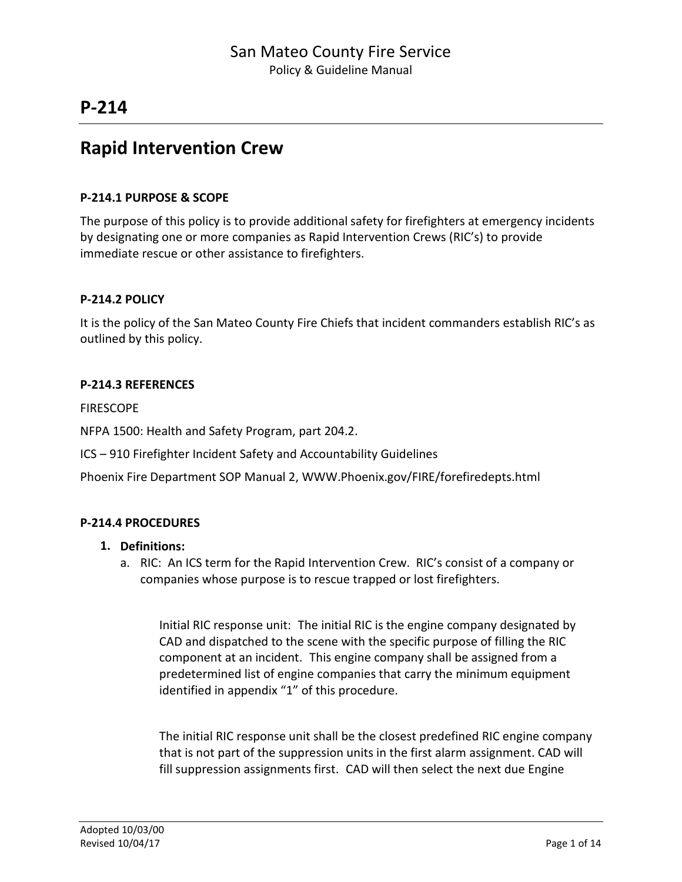## **Rapid Intervention Crew**

### **P-214.1 PURPOSE & SCOPE**

The purpose of this policy is to provide additional safety for firefighters at emergency incidents by designating one or more companies as Rapid Intervention Crews (RIC's) to provide immediate rescue or other assistance to firefighters.

### **P-214.2 POLICY**

It is the policy of the San Mateo County Fire Chiefs that incident commanders establish RIC's as outlined by this policy.

### **P-214.3 REFERENCES**

FIRESCOPE

NFPA 1500: Health and Safety Program, part 204.2.

ICS – 910 Firefighter Incident Safety and Accountability Guidelines

Phoenix Fire Department SOP Manual 2, [WWW.Phoenix.gov/FIRE/forefiredepts.html](http://www.phoenix.gov/FIRE/forefiredepts.html)

### **P-214.4 PROCEDURES**

- **1. Definitions:**
	- a. RIC: An ICS term for the Rapid Intervention Crew. RIC's consist of a company or companies whose purpose is to rescue trapped or lost firefighters.

Initial RIC response unit: The initial RIC is the engine company designated by CAD and dispatched to the scene with the specific purpose of filling the RIC component at an incident. This engine company shall be assigned from a predetermined list of engine companies that carry the minimum equipment identified in appendix "1" of this procedure.

The initial RIC response unit shall be the closest predefined RIC engine company that is not part of the suppression units in the first alarm assignment. CAD will fill suppression assignments first. CAD will then select the next due Engine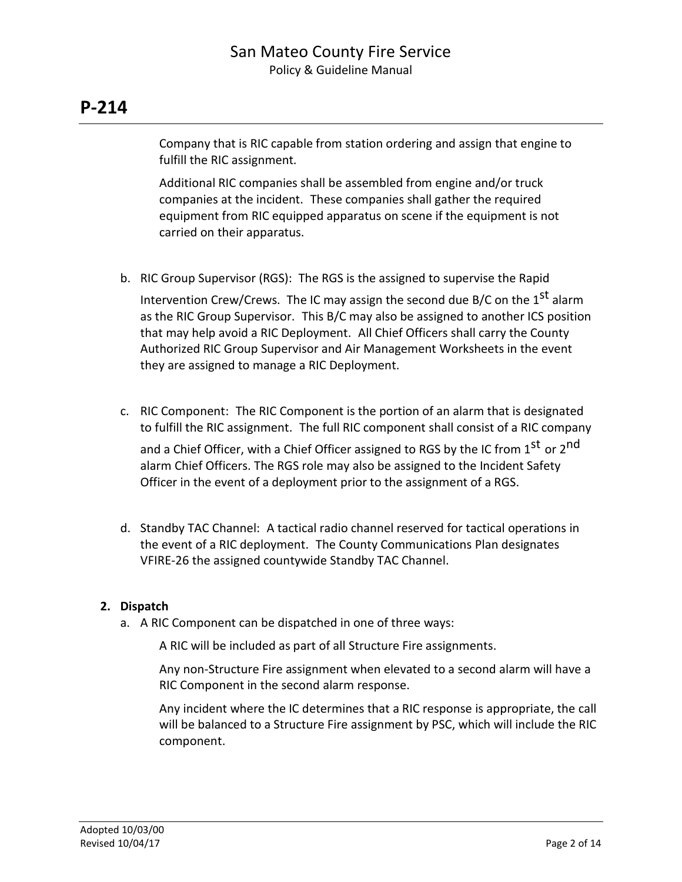Company that is RIC capable from station ordering and assign that engine to fulfill the RIC assignment.

Additional RIC companies shall be assembled from engine and/or truck companies at the incident. These companies shall gather the required equipment from RIC equipped apparatus on scene if the equipment is not carried on their apparatus.

- b. RIC Group Supervisor (RGS): The RGS is the assigned to supervise the Rapid Intervention Crew/Crews. The IC may assign the second due B/C on the  $1^\text{st}$  alarm as the RIC Group Supervisor. This B/C may also be assigned to another ICS position that may help avoid a RIC Deployment. All Chief Officers shall carry the County Authorized RIC Group Supervisor and Air Management Worksheets in the event they are assigned to manage a RIC Deployment.
- c. RIC Component: The RIC Component is the portion of an alarm that is designated to fulfill the RIC assignment. The full RIC component shall consist of a RIC company and a Chief Officer, with a Chief Officer assigned to RGS by the IC from 1<sup>st</sup> or 2<sup>nd</sup> alarm Chief Officers. The RGS role may also be assigned to the Incident Safety Officer in the event of a deployment prior to the assignment of a RGS.
- d. Standby TAC Channel: A tactical radio channel reserved for tactical operations in the event of a RIC deployment. The County Communications Plan designates VFIRE-26 the assigned countywide Standby TAC Channel.

### **2. Dispatch**

a. A RIC Component can be dispatched in one of three ways:

A RIC will be included as part of all Structure Fire assignments.

Any non-Structure Fire assignment when elevated to a second alarm will have a RIC Component in the second alarm response.

Any incident where the IC determines that a RIC response is appropriate, the call will be balanced to a Structure Fire assignment by PSC, which will include the RIC component.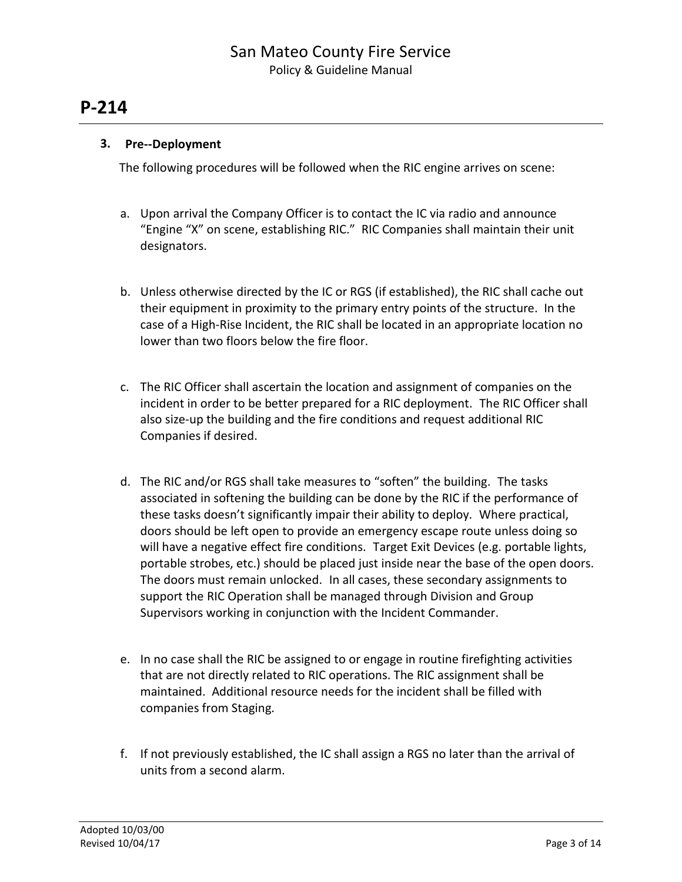### **3. Pre--Deployment**

The following procedures will be followed when the RIC engine arrives on scene:

- a. Upon arrival the Company Officer is to contact the IC via radio and announce "Engine "X" on scene, establishing RIC." RIC Companies shall maintain their unit designators.
- b. Unless otherwise directed by the IC or RGS (if established), the RIC shall cache out their equipment in proximity to the primary entry points of the structure. In the case of a High-Rise Incident, the RIC shall be located in an appropriate location no lower than two floors below the fire floor.
- c. The RIC Officer shall ascertain the location and assignment of companies on the incident in order to be better prepared for a RIC deployment. The RIC Officer shall also size-up the building and the fire conditions and request additional RIC Companies if desired.
- d. The RIC and/or RGS shall take measures to "soften" the building. The tasks associated in softening the building can be done by the RIC if the performance of these tasks doesn't significantly impair their ability to deploy. Where practical, doors should be left open to provide an emergency escape route unless doing so will have a negative effect fire conditions. Target Exit Devices (e.g. portable lights, portable strobes, etc.) should be placed just inside near the base of the open doors. The doors must remain unlocked. In all cases, these secondary assignments to support the RIC Operation shall be managed through Division and Group Supervisors working in conjunction with the Incident Commander.
- e. In no case shall the RIC be assigned to or engage in routine firefighting activities that are not directly related to RIC operations. The RIC assignment shall be maintained. Additional resource needs for the incident shall be filled with companies from Staging.
- f. If not previously established, the IC shall assign a RGS no later than the arrival of units from a second alarm.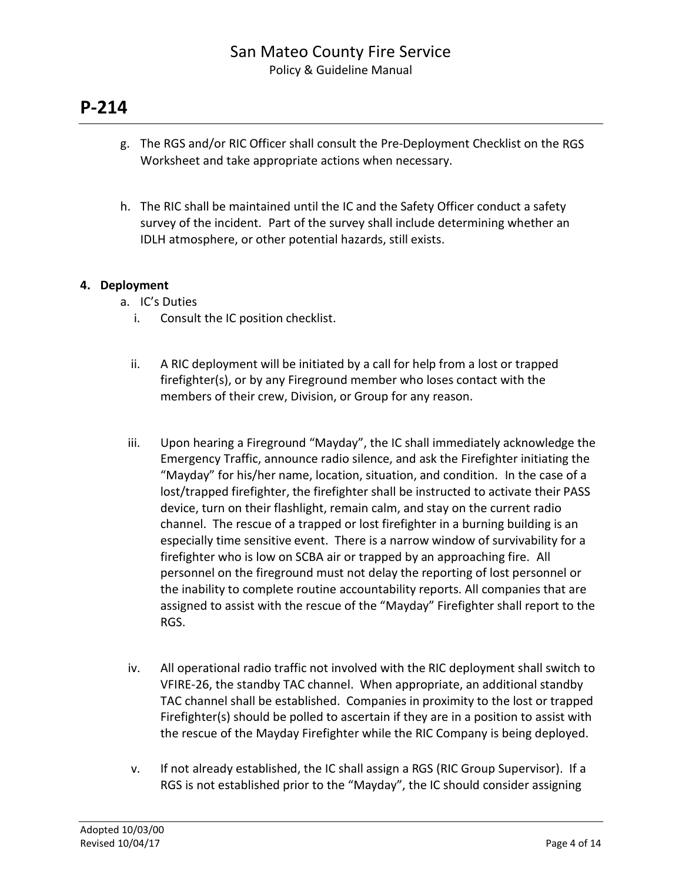- g. The RGS and/or RIC Officer shall consult the Pre-Deployment Checklist on the RGS Worksheet and take appropriate actions when necessary.
- h. The RIC shall be maintained until the IC and the Safety Officer conduct a safety survey of the incident. Part of the survey shall include determining whether an IDLH atmosphere, or other potential hazards, still exists.

### **4. Deployment**

- a. IC's Duties
	- i. Consult the IC position checklist.
	- ii. A RIC deployment will be initiated by a call for help from a lost or trapped firefighter(s), or by any Fireground member who loses contact with the members of their crew, Division, or Group for any reason.
- iii. Upon hearing a Fireground "Mayday", the IC shall immediately acknowledge the Emergency Traffic, announce radio silence, and ask the Firefighter initiating the "Mayday" for his/her name, location, situation, and condition. In the case of a lost/trapped firefighter, the firefighter shall be instructed to activate their PASS device, turn on their flashlight, remain calm, and stay on the current radio channel. The rescue of a trapped or lost firefighter in a burning building is an especially time sensitive event. There is a narrow window of survivability for a firefighter who is low on SCBA air or trapped by an approaching fire. All personnel on the fireground must not delay the reporting of lost personnel or the inability to complete routine accountability reports. All companies that are assigned to assist with the rescue of the "Mayday" Firefighter shall report to the RGS.
- iv. All operational radio traffic not involved with the RIC deployment shall switch to VFIRE-26, the standby TAC channel. When appropriate, an additional standby TAC channel shall be established. Companies in proximity to the lost or trapped Firefighter(s) should be polled to ascertain if they are in a position to assist with the rescue of the Mayday Firefighter while the RIC Company is being deployed.
- v. If not already established, the IC shall assign a RGS (RIC Group Supervisor). If a RGS is not established prior to the "Mayday", the IC should consider assigning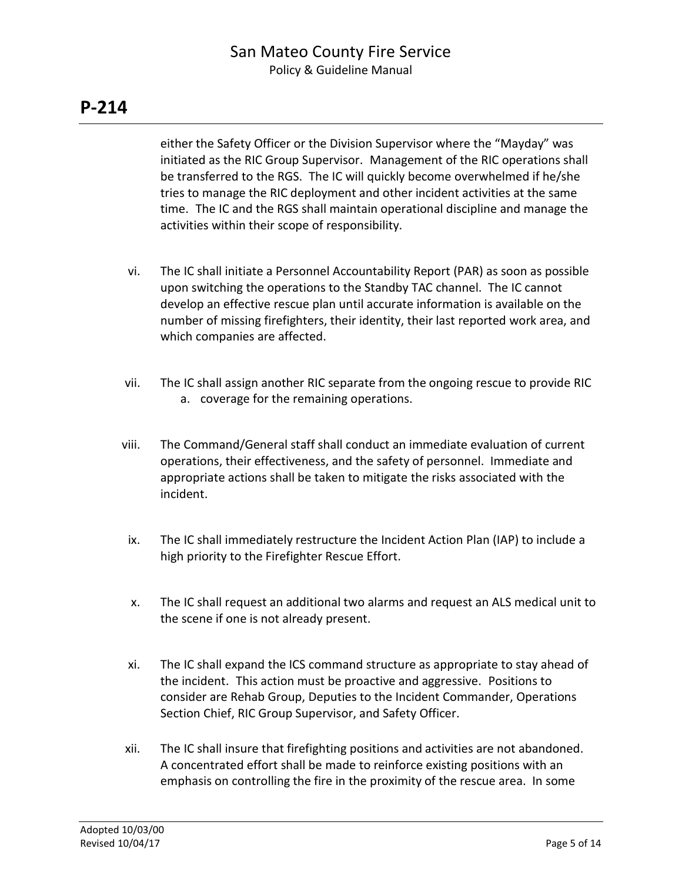either the Safety Officer or the Division Supervisor where the "Mayday" was initiated as the RIC Group Supervisor. Management of the RIC operations shall be transferred to the RGS. The IC will quickly become overwhelmed if he/she tries to manage the RIC deployment and other incident activities at the same time. The IC and the RGS shall maintain operational discipline and manage the activities within their scope of responsibility.

- vi. The IC shall initiate a Personnel Accountability Report (PAR) as soon as possible upon switching the operations to the Standby TAC channel. The IC cannot develop an effective rescue plan until accurate information is available on the number of missing firefighters, their identity, their last reported work area, and which companies are affected.
- vii. The IC shall assign another RIC separate from the ongoing rescue to provide RIC a. coverage for the remaining operations.
- viii. The Command/General staff shall conduct an immediate evaluation of current operations, their effectiveness, and the safety of personnel. Immediate and appropriate actions shall be taken to mitigate the risks associated with the incident.
- ix. The IC shall immediately restructure the Incident Action Plan (IAP) to include a high priority to the Firefighter Rescue Effort.
- x. The IC shall request an additional two alarms and request an ALS medical unit to the scene if one is not already present.
- xi. The IC shall expand the ICS command structure as appropriate to stay ahead of the incident. This action must be proactive and aggressive. Positions to consider are Rehab Group, Deputies to the Incident Commander, Operations Section Chief, RIC Group Supervisor, and Safety Officer.
- xii. The IC shall insure that firefighting positions and activities are not abandoned. A concentrated effort shall be made to reinforce existing positions with an emphasis on controlling the fire in the proximity of the rescue area. In some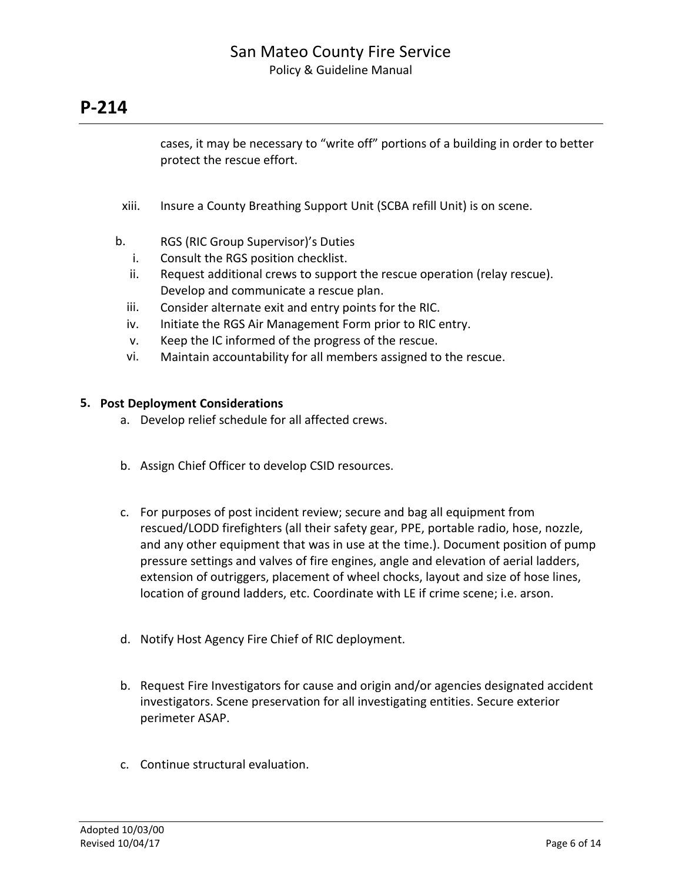cases, it may be necessary to "write off" portions of a building in order to better protect the rescue effort.

- xiii. Insure a County Breathing Support Unit (SCBA refill Unit) is on scene.
- b. RGS (RIC Group Supervisor)'s Duties
	- i. Consult the RGS position checklist.
	- ii. Request additional crews to support the rescue operation (relay rescue). Develop and communicate a rescue plan.
	- iii. Consider alternate exit and entry points for the RIC.
	- iv. Initiate the RGS Air Management Form prior to RIC entry.
	- v. Keep the IC informed of the progress of the rescue.
	- vi. Maintain accountability for all members assigned to the rescue.

### **5. Post Deployment Considerations**

- a. Develop relief schedule for all affected crews.
- b. Assign Chief Officer to develop CSID resources.
- c. For purposes of post incident review; secure and bag all equipment from rescued/LODD firefighters (all their safety gear, PPE, portable radio, hose, nozzle, and any other equipment that was in use at the time.). Document position of pump pressure settings and valves of fire engines, angle and elevation of aerial ladders, extension of outriggers, placement of wheel chocks, layout and size of hose lines, location of ground ladders, etc. Coordinate with LE if crime scene; i.e. arson.
- d. Notify Host Agency Fire Chief of RIC deployment.
- b. Request Fire Investigators for cause and origin and/or agencies designated accident investigators. Scene preservation for all investigating entities. Secure exterior perimeter ASAP.
- c. Continue structural evaluation.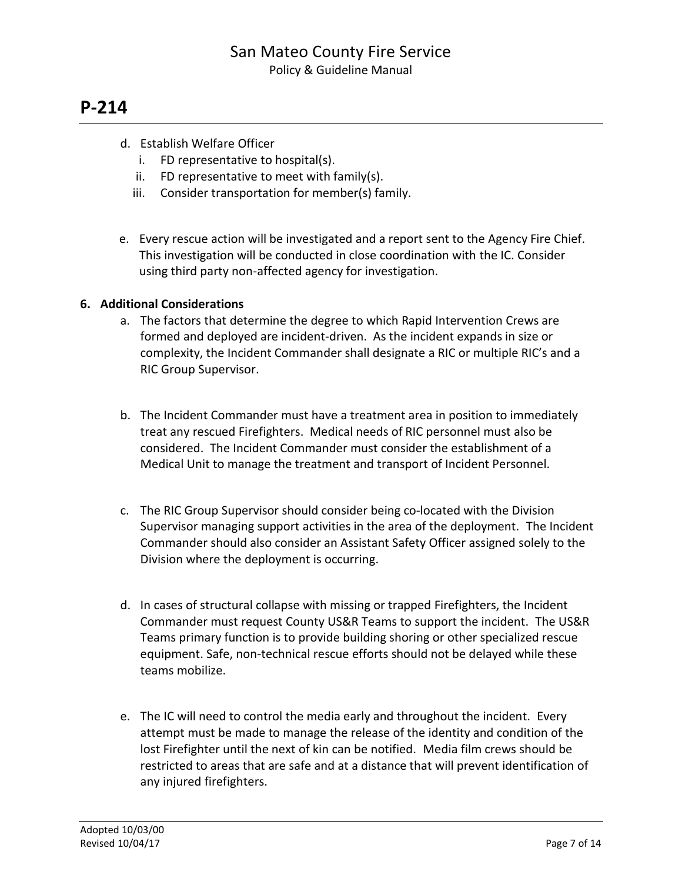- d. Establish Welfare Officer
	- i. FD representative to hospital(s).
	- ii. FD representative to meet with family(s).
	- iii. Consider transportation for member(s) family.
- e. Every rescue action will be investigated and a report sent to the Agency Fire Chief. This investigation will be conducted in close coordination with the IC. Consider using third party non-affected agency for investigation.

### **6. Additional Considerations**

- a. The factors that determine the degree to which Rapid Intervention Crews are formed and deployed are incident-driven. As the incident expands in size or complexity, the Incident Commander shall designate a RIC or multiple RIC's and a RIC Group Supervisor.
- b. The Incident Commander must have a treatment area in position to immediately treat any rescued Firefighters. Medical needs of RIC personnel must also be considered. The Incident Commander must consider the establishment of a Medical Unit to manage the treatment and transport of Incident Personnel.
- c. The RIC Group Supervisor should consider being co-located with the Division Supervisor managing support activities in the area of the deployment. The Incident Commander should also consider an Assistant Safety Officer assigned solely to the Division where the deployment is occurring.
- d. In cases of structural collapse with missing or trapped Firefighters, the Incident Commander must request County US&R Teams to support the incident. The US&R Teams primary function is to provide building shoring or other specialized rescue equipment. Safe, non-technical rescue efforts should not be delayed while these teams mobilize.
- e. The IC will need to control the media early and throughout the incident. Every attempt must be made to manage the release of the identity and condition of the lost Firefighter until the next of kin can be notified. Media film crews should be restricted to areas that are safe and at a distance that will prevent identification of any injured firefighters.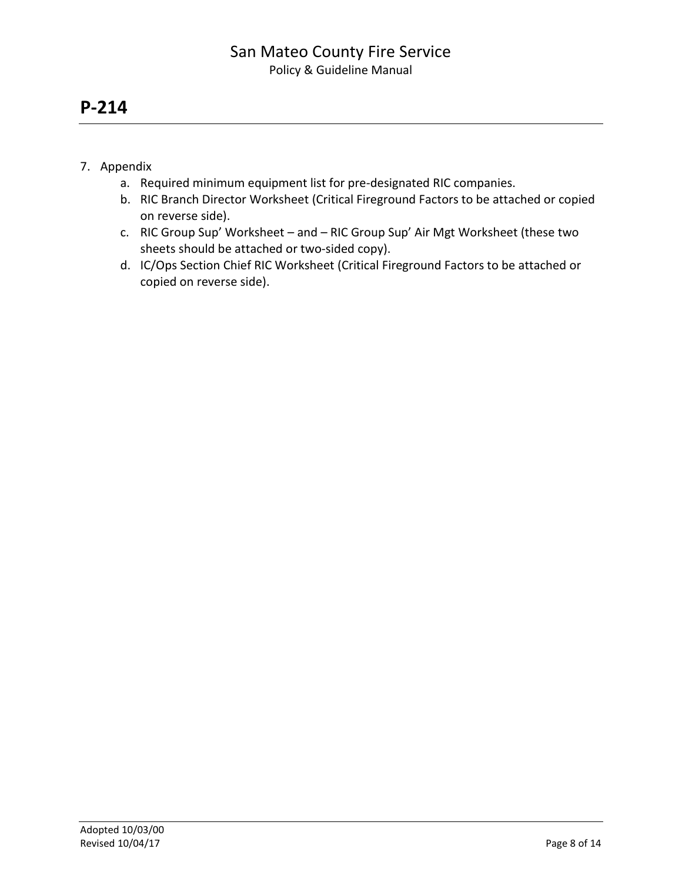- 7. Appendix
	- a. Required minimum equipment list for pre-designated RIC companies.
	- b. RIC Branch Director Worksheet (Critical Fireground Factors to be attached or copied on reverse side).
	- c. RIC Group Sup' Worksheet and RIC Group Sup' Air Mgt Worksheet (these two sheets should be attached or two-sided copy).
	- d. IC/Ops Section Chief RIC Worksheet (Critical Fireground Factors to be attached or copied on reverse side).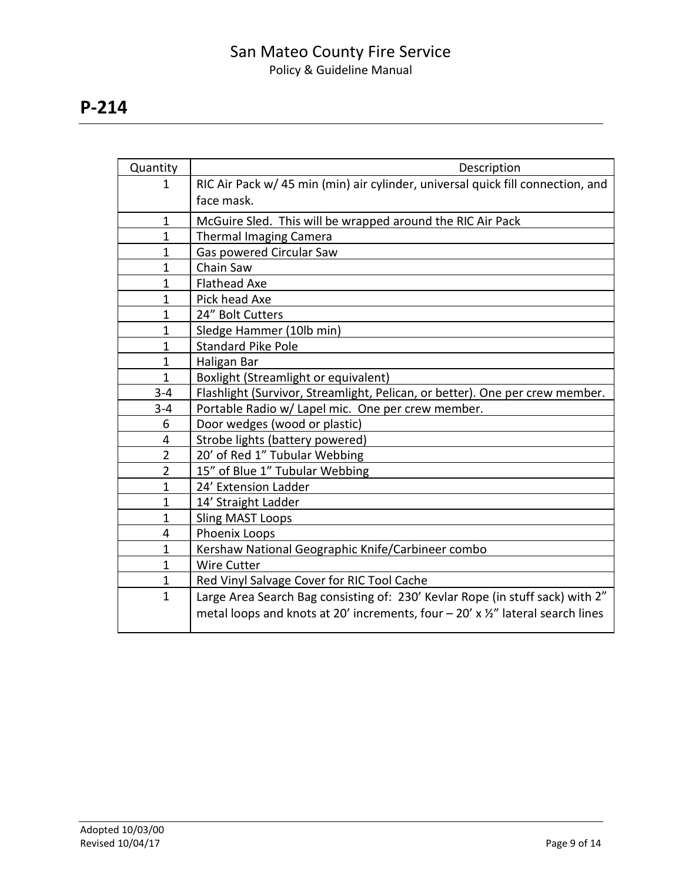| Quantity       | Description                                                                                  |
|----------------|----------------------------------------------------------------------------------------------|
| $\mathbf{1}$   | RIC Air Pack w/ 45 min (min) air cylinder, universal quick fill connection, and              |
|                | face mask.                                                                                   |
| $\mathbf{1}$   | McGuire Sled. This will be wrapped around the RIC Air Pack                                   |
| $\mathbf{1}$   | <b>Thermal Imaging Camera</b>                                                                |
| $\mathbf{1}$   | Gas powered Circular Saw                                                                     |
| 1              | Chain Saw                                                                                    |
| $\mathbf{1}$   | <b>Flathead Axe</b>                                                                          |
| $\mathbf{1}$   | Pick head Axe                                                                                |
| $\mathbf{1}$   | 24" Bolt Cutters                                                                             |
| $\mathbf{1}$   | Sledge Hammer (10lb min)                                                                     |
| $\mathbf{1}$   | <b>Standard Pike Pole</b>                                                                    |
| $\mathbf{1}$   | Haligan Bar                                                                                  |
| $\mathbf{1}$   | Boxlight (Streamlight or equivalent)                                                         |
| $3 - 4$        | Flashlight (Survivor, Streamlight, Pelican, or better). One per crew member.                 |
| $3 - 4$        | Portable Radio w/ Lapel mic. One per crew member.                                            |
| 6              | Door wedges (wood or plastic)                                                                |
| 4              | Strobe lights (battery powered)                                                              |
| $\overline{2}$ | 20' of Red 1" Tubular Webbing                                                                |
| $\overline{2}$ | 15" of Blue 1" Tubular Webbing                                                               |
| $\mathbf{1}$   | 24' Extension Ladder                                                                         |
| $\mathbf{1}$   | 14' Straight Ladder                                                                          |
| $\mathbf{1}$   | <b>Sling MAST Loops</b>                                                                      |
| 4              | Phoenix Loops                                                                                |
| $\mathbf{1}$   | Kershaw National Geographic Knife/Carbineer combo                                            |
| $\mathbf{1}$   | <b>Wire Cutter</b>                                                                           |
| $\mathbf{1}$   | Red Vinyl Salvage Cover for RIC Tool Cache                                                   |
| $\mathbf{1}$   | Large Area Search Bag consisting of: 230' Kevlar Rope (in stuff sack) with 2"                |
|                | metal loops and knots at 20' increments, four $-$ 20' x $\frac{1}{2}$ " lateral search lines |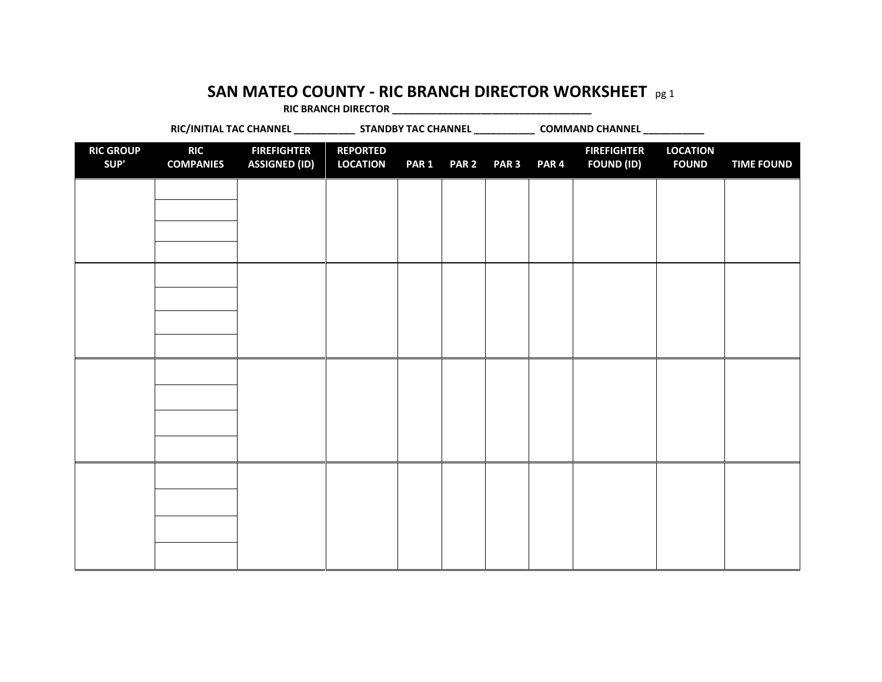### **SAN MATEO COUNTY - RIC BRANCH DIRECTOR WORKSHEET** pg 1

**RIC BRANCH DIRECTOR \_\_\_\_\_\_\_\_\_\_\_\_\_\_\_\_\_\_\_\_\_\_\_\_\_\_\_\_\_\_\_\_\_\_\_\_**

RIC/INITIAL TAC CHANNEL \_\_\_\_\_\_\_\_\_\_\_\_\_\_\_ STANDBY TAC CHANNEL \_\_\_\_\_\_\_\_\_\_\_\_\_\_\_ COMMAND CHANNEL \_\_\_\_\_\_\_\_\_\_\_\_\_ **RIC GROUP SUP' RIC COMPANIES FIREFIGHTER ASSIGNED (ID) REPORTED LOCATION PAR 1 PAR 2 PAR 3 PAR 4 FIREFIGHTER FOUND (ID) LOCATION FOUND TIME FOUND**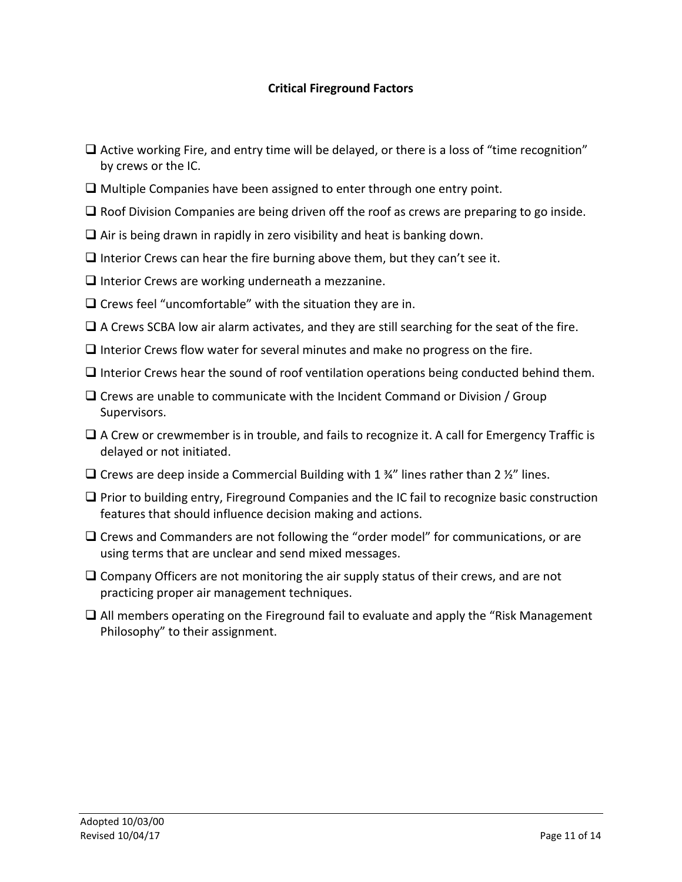### **Critical Fireground Factors**

- $\Box$  Active working Fire, and entry time will be delayed, or there is a loss of "time recognition" by crews or the IC.
- $\Box$  Multiple Companies have been assigned to enter through one entry point.
- $\Box$  Roof Division Companies are being driven off the roof as crews are preparing to go inside.
- $\Box$  Air is being drawn in rapidly in zero visibility and heat is banking down.
- $\Box$  Interior Crews can hear the fire burning above them, but they can't see it.
- $\Box$  Interior Crews are working underneath a mezzanine.
- $\Box$  Crews feel "uncomfortable" with the situation they are in.
- $\Box$  A Crews SCBA low air alarm activates, and they are still searching for the seat of the fire.
- $\Box$  Interior Crews flow water for several minutes and make no progress on the fire.
- $\Box$  Interior Crews hear the sound of roof ventilation operations being conducted behind them.
- $\Box$  Crews are unable to communicate with the Incident Command or Division / Group Supervisors.
- $\Box$  A Crew or crewmember is in trouble, and fails to recognize it. A call for Emergency Traffic is delayed or not initiated.
- $\square$  Crews are deep inside a Commercial Building with 1  $\frac{3}{4}$ " lines rather than 2  $\frac{1}{2}$ " lines.
- $\Box$  Prior to building entry, Fireground Companies and the IC fail to recognize basic construction features that should influence decision making and actions.
- $\Box$  Crews and Commanders are not following the "order model" for communications, or are using terms that are unclear and send mixed messages.
- $\square$  Company Officers are not monitoring the air supply status of their crews, and are not practicing proper air management techniques.
- $\Box$  All members operating on the Fireground fail to evaluate and apply the "Risk Management" Philosophy" to their assignment.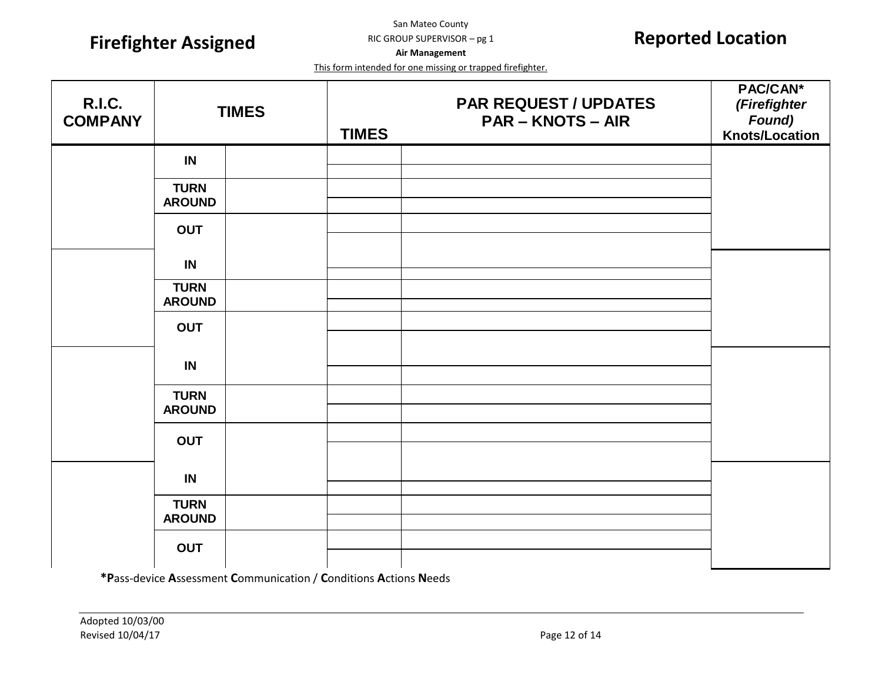**Firefighter Assigned Reported Location**

San Mateo County RIC GROUP SUPERVISOR – pg 1

**Air Management**

This form intended for one missing or trapped firefighter.

| <b>R.I.C.</b><br><b>COMPANY</b> |                              | <b>TIMES</b> | <b>TIMES</b> | <b>PAR REQUEST / UPDATES</b><br><b>PAR - KNOTS - AIR</b> | PAC/CAN*<br>(Firefighter<br>Found)<br>Knots/Location |
|---------------------------------|------------------------------|--------------|--------------|----------------------------------------------------------|------------------------------------------------------|
|                                 | IN                           |              |              |                                                          |                                                      |
|                                 | <b>TURN</b><br><b>AROUND</b> |              |              |                                                          |                                                      |
|                                 | <b>OUT</b>                   |              |              |                                                          |                                                      |
|                                 | IN                           |              |              |                                                          |                                                      |
|                                 | <b>TURN</b><br><b>AROUND</b> |              |              |                                                          |                                                      |
|                                 | <b>OUT</b>                   |              |              |                                                          |                                                      |
|                                 | IN                           |              |              |                                                          |                                                      |
|                                 | <b>TURN</b><br><b>AROUND</b> |              |              |                                                          |                                                      |
|                                 | <b>OUT</b>                   |              |              |                                                          |                                                      |
|                                 | IN                           |              |              |                                                          |                                                      |
|                                 | <b>TURN</b><br><b>AROUND</b> |              |              |                                                          |                                                      |
|                                 | <b>OUT</b>                   |              |              |                                                          |                                                      |

**\*P**ass-device **A**ssessment **C**ommunication / **C**onditions **A**ctions **N**eeds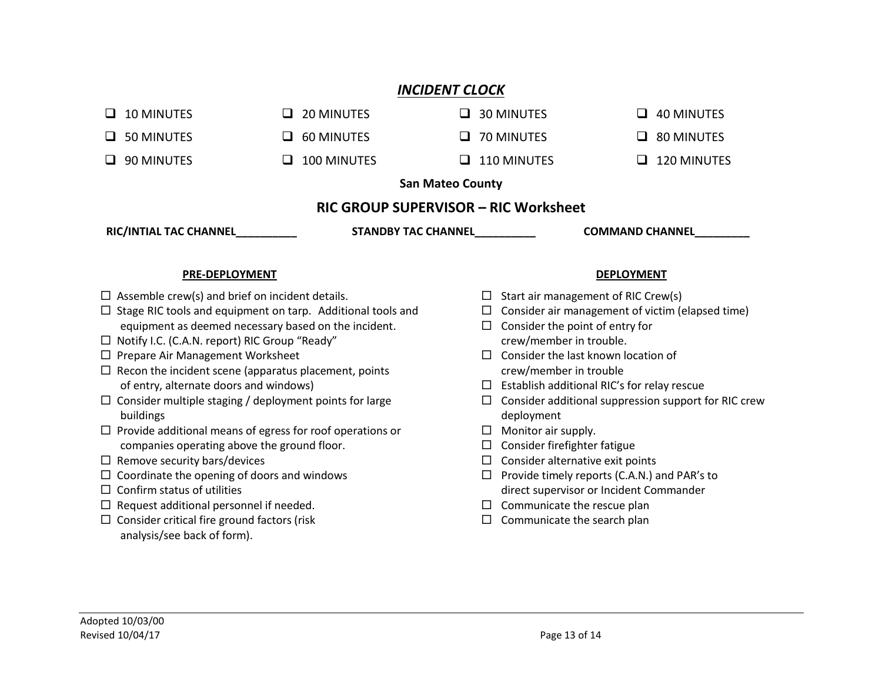### *INCIDENT CLOCK*

| <b>RIC/INTIAL TAC CHANNEL</b>        | <b>STANDBY TAC CHANNEL</b> |                    | <b>COMMAND CHANNEL</b> |  |  |  |
|--------------------------------------|----------------------------|--------------------|------------------------|--|--|--|
| RIC GROUP SUPERVISOR - RIC Worksheet |                            |                    |                        |  |  |  |
| <b>San Mateo County</b>              |                            |                    |                        |  |  |  |
| 90 MINUTES                           | 100 MINUTES                | $\Box$ 110 MINUTES | 120 MINUTES            |  |  |  |
| ப                                    | ப                          |                    | ப                      |  |  |  |
| 50 MINUTES                           | <b>60 MINUTES</b>          | $\Box$ 70 MINUTES  | 80 MINUTES             |  |  |  |
| ப                                    | ப                          |                    | ப                      |  |  |  |
| <b>10 MINUTES</b>                    | 20 MINUTES                 | $\Box$ 30 MINUTES  | <b>40 MINUTES</b>      |  |  |  |
| ⊔.                                   | ப                          |                    | ப                      |  |  |  |

#### **PRE-DEPLOYMENT**

- $\square$  Assemble crew(s) and brief on incident details.
- $\square$  Stage RIC tools and equipment on tarp. Additional tools and equipment as deemed necessary based on the incident.
- $\Box$  Notify I.C. (C.A.N. report) RIC Group "Ready"
- $\square$  Prepare Air Management Worksheet
- $\Box$  Recon the incident scene (apparatus placement, points of entry, alternate doors and windows)
- $\Box$  Consider multiple staging / deployment points for large buildings
- $\Box$  Provide additional means of egress for roof operations or companies operating above the ground floor.
- $\Box$  Remove security bars/devices
- $\square$  Coordinate the opening of doors and windows
- $\Box$  Confirm status of utilities
- $\Box$  Request additional personnel if needed.
- $\square$  Consider critical fire ground factors (risk analysis/see back of form).

### **DEPLOYMENT**

- $\Box$  Start air management of RIC Crew(s)
- $\square$  Consider air management of victim (elapsed time)
- $\Box$  Consider the point of entry for crew/member in trouble.
- $\Box$  Consider the last known location of crew/member in trouble
- $\square$  Establish additional RIC's for relay rescue
- $\square$  Consider additional suppression support for RIC crew deployment
- $\Box$  Monitor air supply.
- $\square$  Consider firefighter fatigue
- $\Box$  Consider alternative exit points
- $\Box$  Provide timely reports (C.A.N.) and PAR's to direct supervisor or Incident Commander
- $\square$  Communicate the rescue plan
- $\square$  Communicate the search plan